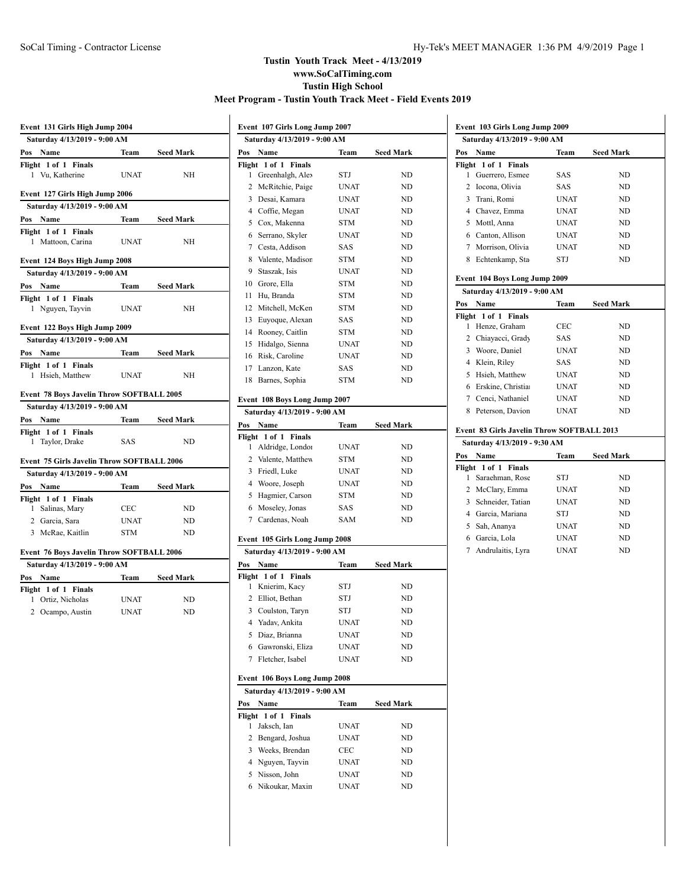**Event 103 Girls Long Jump 2009**

# **Tustin Youth Track Meet - 4/13/2019 www.SoCalTiming.com Tustin High School Meet Program - Tustin Youth Track Meet - Field Events 2019**

| Event 131 Girls High Jump 2004               |             |                  |  |  |
|----------------------------------------------|-------------|------------------|--|--|
| Saturday 4/13/2019 - 9:00 AM                 |             |                  |  |  |
| Pos Name                                     | Team        | <b>Seed Mark</b> |  |  |
| Flight 1 of 1 Finals<br>Vu, Katherine<br>1   | <b>UNAT</b> | NH               |  |  |
| Event 127 Girls High Jump 2006               |             |                  |  |  |
| Saturday 4/13/2019 - 9:00 AM                 |             |                  |  |  |
| Pos Name                                     | Team        | <b>Seed Mark</b> |  |  |
| Flight 1 of 1 Finals<br>Mattoon, Carina<br>1 | <b>UNAT</b> | NΗ               |  |  |
| Event 124 Boys High Jump 2008                |             |                  |  |  |
| Saturday 4/13/2019 - 9:00 AM                 |             |                  |  |  |
| Pos Name                                     | Team        | <b>Seed Mark</b> |  |  |
| Flight 1 of 1 Finals                         |             |                  |  |  |
| Nguyen, Tayvin<br>1                          | <b>UNAT</b> | NH               |  |  |
| Event 122 Boys High Jump 2009                |             |                  |  |  |
| Saturday 4/13/2019 - 9:00 AM                 |             |                  |  |  |
| Pos Name                                     |             | Team Seed Mark   |  |  |
| Flight 1 of 1 Finals<br>Hsieh, Matthew<br>1  | <b>UNAT</b> | NH               |  |  |
|                                              |             |                  |  |  |
| Event 78 Boys Javelin Throw SOFTBALL 2005    |             |                  |  |  |
| Saturday 4/13/2019 - 9:00 AM                 |             |                  |  |  |
| Pos Name                                     |             | <b>Seed Mark</b> |  |  |
| Flight 1 of 1 Finals                         | Team        |                  |  |  |
| Taylor, Drake<br>1                           | <b>SAS</b>  | ND               |  |  |
| Event 75 Girls Javelin Throw SOFTBALL 2006   |             |                  |  |  |
| Saturday 4/13/2019 - 9:00 AM                 |             |                  |  |  |
| Pos Name                                     | Team        | <b>Seed Mark</b> |  |  |
| Flight 1 of 1 Finals                         |             |                  |  |  |
| Salinas, Mary<br>1                           | <b>CEC</b>  | ND               |  |  |
| 2 Garcia, Sara                               | <b>UNAT</b> | <b>ND</b>        |  |  |
| 3 McRae, Kaitlin                             | <b>STM</b>  | ND               |  |  |
| Event 76 Boys Javelin Throw SOFTBALL 2006    |             |                  |  |  |
| Saturday 4/13/2019 - 9:00 AM                 |             |                  |  |  |
| Pos Name                                     | Team        | <b>Seed Mark</b> |  |  |
| Flight 1 of 1 Finals                         |             |                  |  |  |
| Ortiz, Nicholas<br>1                         | <b>UNAT</b> | ND               |  |  |
| 2 Ocampo, Austin                             | <b>UNAT</b> | ND               |  |  |

|        | Event 107 Girls Long Jump 2007 |             |                  |  |
|--------|--------------------------------|-------------|------------------|--|
|        | Saturday 4/13/2019 - 9:00 AM   |             |                  |  |
| Pos    | Name                           | Team        | Seed Mark        |  |
|        | Flight 1 of 1<br><b>Finals</b> |             |                  |  |
| 1      | Greenhalgh, Alex               | STJ         | ND               |  |
|        | 2 McRitchie, Paige             | <b>UNAT</b> | ND               |  |
|        | 3 Desai, Kamara                | <b>UNAT</b> | ND               |  |
|        | 4 Coffie, Megan                | <b>UNAT</b> | ND               |  |
|        | 5 Cox, Makenna                 | <b>STM</b>  | ND               |  |
| 6      | Serrano, Skyler                | <b>UNAT</b> | N <sub>D</sub>   |  |
|        | 7 Cesta, Addison               | SAS         | ND               |  |
|        | 8 Valente, Madison             | <b>STM</b>  | ND               |  |
| 9      | Staszak, Isis                  | <b>UNAT</b> | <b>ND</b>        |  |
|        | 10 Grore, Ella                 | <b>STM</b>  | ND               |  |
| 11     | Hu, Branda                     | <b>STM</b>  | ND               |  |
| 12     | Mitchell, McKen                | <b>STM</b>  | ND               |  |
| 13     | Euyoque, Alexan                | SAS         | ND               |  |
| 14     | Rooney, Caitlin                | <b>STM</b>  | ND               |  |
| 15     | Hidalgo, Sienna                | <b>UNAT</b> | ND               |  |
| 16     | Risk, Caroline                 | <b>UNAT</b> | ND               |  |
|        | 17 Lanzon, Kate                | SAS         | ND               |  |
| 18     | Barnes, Sophia                 | <b>STM</b>  | ND               |  |
|        |                                |             |                  |  |
|        | Event 108 Boys Long Jump 2007  |             |                  |  |
|        | Saturday 4/13/2019 - 9:00 AM   |             |                  |  |
| Pos    | Name                           | Team        | <b>Seed Mark</b> |  |
|        | Flight 1 of 1 Finals           |             |                  |  |
| 1      | Aldridge, Londor               | <b>UNAT</b> | ND               |  |
|        | 2 Valente, Matthew             | <b>STM</b>  | ND               |  |
|        | 3 Friedl, Luke                 | UNAT        | ND               |  |
|        | 4 Woore, Joseph                | <b>UNAT</b> | ND               |  |
|        | 5 Hagmier, Carson              | <b>STM</b>  | ND               |  |
|        | 6 Moseley, Jonas               | SAS         | ND               |  |
|        | 7 Cardenas, Noah               | <b>SAM</b>  | ND               |  |
|        |                                |             |                  |  |
|        | Event 105 Girls Long Jump 2008 |             |                  |  |
|        | Saturday 4/13/2019 - 9:00 AM   |             |                  |  |
| Pos    | Name                           | Team        | <b>Seed Mark</b> |  |
| 1      | Flight 1 of 1 Finals           |             |                  |  |
|        | Knierim, Kacy                  | STJ         | ND               |  |
| 2      | Elliot, Bethan                 | STJ         | ND               |  |
|        | 3 Coulston, Taryn              | STJ         | ND               |  |
|        | 4 Yadav, Ankita                | <b>UNAT</b> | ND               |  |
|        | 5 Diaz, Brianna                | UNAT        | ND               |  |
|        | 6 Gawronski, Eliza             | UNAT        | ND               |  |
| 7      | Fletcher, Isabel               | <b>UNAT</b> | ND               |  |
|        | Event 106 Boys Long Jump 2008  |             |                  |  |
|        | Saturday 4/13/2019 - 9:00 AM   |             |                  |  |
| Pos    | Name                           | Team        | Seed Mark        |  |
| Flight | 1 of 1<br><b>Finals</b>        |             |                  |  |
| 1      | Jaksch, Ian                    | UNAT        | ND               |  |
| 2      | Bengard, Joshua                | UNAT        | ND               |  |
| 3      | Weeks, Brendan                 | <b>CEC</b>  | ND               |  |
|        | 4 Nguyen, Tayvin               | UNAT        | ND               |  |
|        | 5 Nisson, John                 | UNAT        | ND               |  |
| 6      | Nikoukar, Maxin                | UNAT        | ND               |  |
|        |                                |             |                  |  |
|        |                                |             |                  |  |
|        |                                |             |                  |  |

|        | Saturday 4/13/2019 - 9:00 AM               |             |                  |
|--------|--------------------------------------------|-------------|------------------|
| Pos    | Name                                       | Team        | <b>Seed Mark</b> |
|        | Flight 1 of 1 Finals                       |             |                  |
| 1      | Guerrero, Esmee                            | SAS         | ND               |
|        | 2 Iocona, Olivia                           | SAS         | ND               |
|        | 3 Trani, Romi                              | <b>UNAT</b> | ND               |
|        | 4 Chavez, Emma                             | <b>UNAT</b> | ND               |
|        | 5 Mottl, Anna                              | <b>UNAT</b> | ND               |
|        | 6 Canton, Allison                          | <b>UNAT</b> | ND               |
|        | 7 Morrison, Olivia                         | <b>UNAT</b> | ND               |
|        | 8 Echtenkamp, Sta                          | STJ         | ND               |
|        | Event 104 Boys Long Jump 2009              |             |                  |
|        | Saturday 4/13/2019 - 9:00 AM               |             |                  |
| Pos    | Name                                       | Team        | <b>Seed Mark</b> |
| Flight | 1 of 1<br><b>Finals</b>                    |             |                  |
| 1      | Henze, Graham                              | CEC         | ND               |
|        | 2 Chiayacci, Grady                         | SAS         | ND               |
|        | 3 Woore, Daniel                            | <b>UNAT</b> | ND               |
|        | 4 Klein, Riley                             | <b>SAS</b>  | ND               |
|        | 5 Hsieh, Matthew                           | <b>UNAT</b> | ND               |
|        | 6 Erskine, Christia                        | <b>UNAT</b> | ND               |
|        | 7 Cenci, Nathaniel                         | <b>UNAT</b> | ND               |
|        | 8 Peterson, Davion                         | <b>UNAT</b> | ND               |
|        | Event 83 Girls Javelin Throw SOFTBALL 2013 |             |                  |
|        | Saturday 4/13/2019 - 9:30 AM               |             |                  |
| Pos    | Name                                       | Team        | <b>Seed Mark</b> |
|        | Flight 1 of 1 Finals                       |             |                  |
| 1      | Saraehman, Rose                            | STJ         | ND               |
|        | 2 McClary, Emma                            | <b>UNAT</b> | ND               |
|        | 3 Schneider, Tatian                        | <b>UNAT</b> | ND               |
|        | 4 Garcia, Mariana                          | STJ         | ND               |
|        | 5 Sah, Ananya                              | <b>UNAT</b> | ND               |
|        | 6 Garcia, Lola                             | <b>UNAT</b> | ND               |
| 7      | Andrulaitis, Lyra                          | <b>UNAT</b> | ND               |
|        |                                            |             |                  |
|        |                                            |             |                  |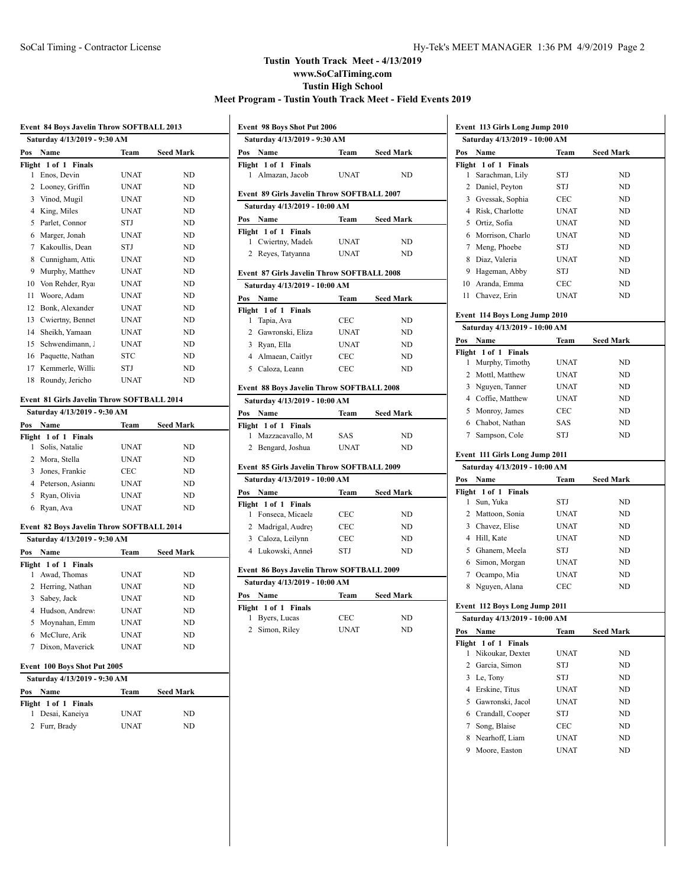# **Tustin Youth Track Meet - 4/13/2019 www.SoCalTiming.com Tustin High School Meet Program - Tustin Youth Track Meet - Field Events 2019**

|                | Event 84 Boys Javelin Throw SOFTBALL 2013 |             |                  |  |  |
|----------------|-------------------------------------------|-------------|------------------|--|--|
|                | Saturday 4/13/2019 - 9:30 AM              |             |                  |  |  |
| Pos            | Name                                      | Team        | <b>Seed Mark</b> |  |  |
|                | Flight 1 of 1 Finals                      |             |                  |  |  |
| 1              | Enos, Devin                               | <b>UNAT</b> | ND               |  |  |
| $\overline{c}$ | Looney, Griffin                           | <b>UNAT</b> | ND.              |  |  |
| 3              | Vinod, Mugil                              | <b>UNAT</b> | ND               |  |  |
| 4              | King, Miles                               | <b>UNAT</b> | ND               |  |  |
| 5.             | Parlet, Connor                            | <b>STJ</b>  | N <sub>D</sub>   |  |  |
| 6              | Marger, Jonah                             | <b>UNAT</b> | ND.              |  |  |
| 7              | Kakoullis, Dean                           | STJ         | ND               |  |  |
| 8              | Cunnigham, Attic                          | <b>UNAT</b> | ND.              |  |  |
| 9              | Murphy, Matthey                           | <b>UNAT</b> | ND.              |  |  |
| 10             | Von Rehder, Rya                           | <b>UNAT</b> | ND.              |  |  |
| 11             | Woore, Adam                               | <b>UNAT</b> | ND.              |  |  |
| 12             | Bonk, Alexander                           | <b>UNAT</b> | ND               |  |  |
| 13             | Cwiertny, Bennet                          | <b>UNAT</b> | ND               |  |  |
| 14             | Sheikh, Yamaan                            | <b>UNAT</b> | ND.              |  |  |
| 15             | Schwendimann,.                            | <b>UNAT</b> | ND.              |  |  |
| 16             | Paquette, Nathan                          | <b>STC</b>  | ND.              |  |  |
| 17             | Kemmerle, Willi                           | STJ         | ND               |  |  |
| 18             | Roundy, Jericho                           | <b>UNAT</b> | ND               |  |  |

## **Event 81 Girls Javelin Throw SOFTBALL 2014**

|     | Saturday 4/13/2019 - 9:30 AM |             |                  |  |
|-----|------------------------------|-------------|------------------|--|
| Pos | <b>Name</b>                  | Team        | <b>Seed Mark</b> |  |
|     | Flight 1 of 1 Finals         |             |                  |  |
|     | Solis, Natalie               | <b>UNAT</b> | ND               |  |
|     | 2 Mora, Stella               | UNAT        | ND               |  |
|     | 3 Jones, Frankie             | CEC         | ND               |  |
|     | 4 Peterson, Asiann           | UNAT        | ND               |  |
|     | 5 Ryan, Olivia               | <b>UNAT</b> | ND               |  |
| 6   | Ryan, Ava                    | <b>UNAT</b> | ND.              |  |
|     |                              |             |                  |  |

### **Event 82 Boys Javelin Throw SOFTBALL 2014**

|     | Saturday 4/13/2019 - 9:30 AM |             |                  |  |
|-----|------------------------------|-------------|------------------|--|
| Pos | <b>Name</b>                  | Team        | <b>Seed Mark</b> |  |
|     | Flight 1 of 1 Finals         |             |                  |  |
|     | Awad, Thomas                 | <b>UNAT</b> | ND               |  |
|     | 2 Herring, Nathan            | <b>UNAT</b> | ND               |  |
| 3   | Sabey, Jack                  | <b>UNAT</b> | ND               |  |
|     | 4 Hudson, Andrew             | <b>UNAT</b> | ND               |  |
|     | 5 Moynahan, Emm              | <b>UNAT</b> | ND               |  |
|     | 6 McClure, Arik              | <b>UNAT</b> | ND               |  |
|     | Dixon, Maverick              | <b>UNAT</b> | ND.              |  |
|     |                              |             |                  |  |

# **Event 100 Boys Shot Put 2005**

| Saturday 4/13/2019 - 9:30 AM |             |                  |  |
|------------------------------|-------------|------------------|--|
| Pos<br><b>Name</b>           | Team        | <b>Seed Mark</b> |  |
| Flight 1 of 1 Finals         |             |                  |  |
| 1 Desai, Kaneiya             | <b>UNAT</b> | ND.              |  |
| 2 Furr, Brady                | <b>UNAT</b> | ND               |  |

| Event 98 Boys Shot Put 2006                       |             |                  |
|---------------------------------------------------|-------------|------------------|
| Saturday 4/13/2019 - 9:30 AM                      |             |                  |
| Pos<br>Name                                       | Team        | <b>Seed Mark</b> |
| Flight 1 of 1 Finals<br>1<br>Almazan, Jacob       | <b>UNAT</b> | ND               |
| Event 89 Girls Javelin Throw SOFTBALL 2007        |             |                  |
| Saturday 4/13/2019 - 10:00 AM                     |             |                  |
| Pos<br>Name                                       | Team        | <b>Seed Mark</b> |
| Flight 1 of 1 Finals                              |             |                  |
| Cwiertny, Madel<br>1                              | <b>UNAT</b> | ND               |
| 2<br>Reyes, Tatyanna                              | <b>UNAT</b> | ND               |
| <b>Event 87 Girls Javelin Throw SOFTBALL 2008</b> |             |                  |
| Saturday 4/13/2019 - 10:00 AM                     |             |                  |
| Name<br>Pos                                       | Team        | <b>Seed Mark</b> |
| Flight 1 of 1 Finals                              |             |                  |
| 1<br>Tapia, Ava                                   | <b>CEC</b>  | ND               |
| 2 Gawronski, Eliza                                | <b>UNAT</b> | ND               |
| 3 Ryan, Ella                                      | <b>UNAT</b> | ND               |
| 4 Almaean, Caitlyr                                | <b>CEC</b>  | ND               |
| 5 Caloza, Leann                                   | <b>CEC</b>  | ND               |
| Event 88 Boys Javelin Throw SOFTBALL 2008         |             |                  |
| Saturday 4/13/2019 - 10:00 AM                     |             |                  |
| Name<br>Pos                                       | Team        | <b>Seed Mark</b> |
| Flight 1 of 1 Finals                              |             |                  |
| Mazzacavallo, M<br>1                              | <b>SAS</b>  | ND               |
| $\mathbf{2}$<br>Bengard, Joshua                   | <b>UNAT</b> | ND               |
| Event 85 Girls Javelin Throw SOFTBALL 2009        |             |                  |
| Saturday 4/13/2019 - 10:00 AM                     |             |                  |
| Pos<br>Name                                       | Team        | <b>Seed Mark</b> |
| Flight 1 of 1 Finals                              |             |                  |
| Fonseca, Micaela<br>1                             | <b>CEC</b>  | ND               |
| 2<br>Madrigal, Audrey                             | <b>CEC</b>  | ND               |
| 3<br>Caloza, Leilynn                              | CEC         | ND               |
| Lukowski, Annel<br>4                              | <b>STJ</b>  | ND               |

#### **Event 86 Boys Javelin Throw SOFTBALL 2009**

| Saturday 4/13/2019 - 10:00 AM |                  |                                            |  |  |
|-------------------------------|------------------|--------------------------------------------|--|--|
| Team                          | <b>Seed Mark</b> |                                            |  |  |
|                               |                  |                                            |  |  |
| CEC                           | ND.              |                                            |  |  |
| <b>UNAT</b>                   | ND.              |                                            |  |  |
|                               |                  | елене об болу балени тигом эфт тватее 2007 |  |  |

| Event 113 Girls Long Jump 2010 |                                            |             |                  |  |
|--------------------------------|--------------------------------------------|-------------|------------------|--|
|                                | Saturday 4/13/2019 - 10:00 AM              |             |                  |  |
| Pos                            | Name                                       | Team        | <b>Seed Mark</b> |  |
| Flight<br>1                    | 1 of 1 Finals<br>Sarachman, Lily           | STJ         | ND               |  |
| 2                              | Daniel, Peyton                             | STJ         | ND               |  |
|                                | 3 Gvessak, Sophia                          | CEC         | ND               |  |
|                                | 4 Risk, Charlotte                          | <b>UNAT</b> | ND               |  |
|                                | 5 Ortiz, Sofia                             | <b>UNAT</b> | <b>ND</b>        |  |
|                                | 6 Morrison, Charlo                         | <b>UNAT</b> | ND               |  |
| $7^{\circ}$                    | Meng, Phoebe                               | STJ         | <b>ND</b>        |  |
| 8                              | Diaz, Valeria                              | <b>UNAT</b> | ND               |  |
| 9.                             | Hageman, Abby                              | STJ         | ND               |  |
| 10                             | Aranda, Emma                               | <b>CEC</b>  | ND               |  |
| 11                             | Chavez, Erin                               | <b>UNAT</b> | <b>ND</b>        |  |
|                                |                                            |             |                  |  |
|                                | Event 114 Boys Long Jump 2010              |             |                  |  |
|                                | Saturday 4/13/2019 - 10:00 AM              |             |                  |  |
| Pos                            | Name                                       | Team        | <b>Seed Mark</b> |  |
| Flight<br>1                    | 1 of 1<br><b>Finals</b><br>Murphy, Timothy | <b>UNAT</b> | ND               |  |
| 2                              | Mottl, Matthew                             | <b>UNAT</b> | ND               |  |
|                                | 3 Nguyen, Tanner                           | <b>UNAT</b> | <b>ND</b>        |  |
|                                | 4 Coffie, Matthew                          | <b>UNAT</b> | ND               |  |
|                                |                                            | <b>CEC</b>  | ND               |  |
|                                |                                            |             |                  |  |
|                                | 5 Monroy, James                            | <b>SAS</b>  | ND               |  |
| 7                              | 6 Chabot, Nathan<br>Sampson, Cole          | STJ         | ND               |  |
|                                |                                            |             |                  |  |
|                                | Event 111 Girls Long Jump 2011             |             |                  |  |
|                                | Saturday 4/13/2019 - 10:00 AM              |             |                  |  |
|                                | Name                                       | Team        | <b>Seed Mark</b> |  |
| Pos<br>Flight<br>1             | 1 of 1 Finals<br>Sun, Yuka                 | STJ         | ND               |  |
| 2                              | Mattoon, Sonia                             | <b>UNAT</b> | ND               |  |
| 3                              |                                            | <b>UNAT</b> | <b>ND</b>        |  |
|                                | Chavez, Elise                              | <b>UNAT</b> | ND               |  |
|                                | 4 Hill, Kate<br>5 Ghanem, Meela            | STJ         | ND               |  |
|                                | 6 Simon, Morgan                            | <b>UNAT</b> | ND               |  |
|                                | 7 Ocampo, Mia                              | <b>UNAT</b> | ND               |  |
| 8                              | Nguyen, Alana                              | <b>CEC</b>  | ND               |  |
|                                |                                            |             |                  |  |
|                                | Event 112 Boys Long Jump 2011              |             |                  |  |
|                                | Saturday 4/13/2019 - 10:00 AM              |             |                  |  |
| Pos                            | Name                                       | Team        | Seed Mark        |  |
| Flight<br>1                    | 1 of 1 Finals<br>Nikoukar, Dexter          | <b>UNAT</b> | ND               |  |
| 2                              | Garcia, Simon                              | STJ         | ND               |  |
| 3                              | Le, Tony                                   | STJ         | ND               |  |
| 4                              | Erskine, Titus                             | <b>UNAT</b> | ND.              |  |
| 5                              | Gawronski, Jacol                           | UNAT        | ND               |  |
| 6                              | Crandall, Cooper                           | STJ         | ND               |  |
| 7                              | Song, Blaise                               | CEC         | ND               |  |
| 8                              | Nearhoff, Liam                             | UNAT        | ND               |  |
| 9                              | Moore, Easton                              | UNAT        | ND               |  |